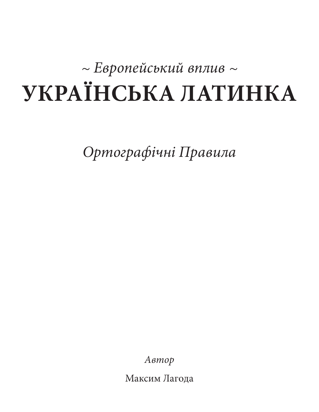# *~ Европейський вплив ~* **Українська Латинка**

*Ортографічні Правила*

*Автор*

Максим Лагода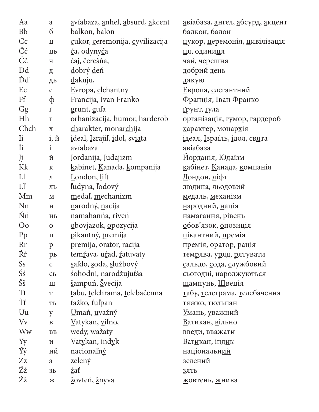| Aa             | $\mathbf{a}$           | avíabaza, anhel, absurd, akcent | <u>а</u> віабаза, <u>а</u> нгел, <u>а</u> бсурд, <u>а</u> кцент |
|----------------|------------------------|---------------------------------|-----------------------------------------------------------------|
| <b>Bb</b>      | 6                      | balkon, balon                   | <u>б</u> алкон, <u>б</u> алон                                   |
| Cc             | Ц                      | cukor, ceremonija, cyvilizacija | цукор, церемонія, цивілізація                                   |
| Ćć             | ЦЬ                     | <u>ć</u> a, odyny <u>ć</u> a    | ця, одиниця                                                     |
| Čč             | Ч                      | čaj, čerešńa,                   | чай, черешня                                                    |
| Dd             | Д                      | dobrý deń                       | добрий день                                                     |
| Ďď             | ДЬ                     | dakuju,                         | дякую                                                           |
| Ee             | $\mathbf e$            | Evropa, elehantný               | <u>Е</u> вропа, <u>е</u> легантний                              |
| Ff             | ф                      | Erancija, Ivan Eranko           | <u>Ф</u> ранція, Іван Франко                                    |
| Gg             | $\mathbf{I}^{\prime}$  | grunt, gula                     | грунт, гула                                                     |
| Hh             | $\Gamma$               | orhanizacija, humor, harderob   | організація, гумор, гардероб                                    |
| Chch           | $\mathbf X$            | charakter, monarchija           | характер, монархія                                              |
| Ii             | $i, \n{u}$             | ideal, Izrajiľ, idol, sviata    | ідеал, Ізраїль, ідол, свята                                     |
| Íí             | 1                      | av <u>í</u> abaza               | авіабаза                                                        |
| Jj             | Й                      | Jordanija, Judajizm             | Иорданія, Юдаїзм                                                |
| Kk             | ${\bf K}$              | kabinet, Kanada, kompanija      | кабінет, Канада, компанія                                       |
| L1             | Л                      | London, lift                    | <u>Л</u> ондон, <u>л</u> іфт                                    |
| LI             | ЛЬ                     | ľudyna, ľodový                  | <u>л</u> юдина, <u>ль</u> одовий                                |
| Mm             | $\mathbf M$            | medaľ, mechanizm                | медаль, механізм                                                |
| Nn             | H                      | narodný, nacija                 | народний, нація                                                 |
| Ńń             | Hb                     | namahan <u>ń</u> a, riveń       | намагання, рівень                                               |
| $\rm{O}o$      | $\mathbf{O}$           | obovjazok, opozycija            | обов'язок, опозиція                                             |
| Pp             | $\Pi$                  | pikantný, premija               | пікантний, премія                                               |
| Rr             | $\mathbf{p}$           | premija, orator, racija         | премія, оратор, рація                                           |
| Ŕŕ             | рь                     | temŕava, uŕad, ŕatuvaty         | темрява, уряд, рятувати                                         |
| Ss             | $\mathsf{C}$           | saľdo, soda, službový           | сальдо, сода, службовий                                         |
| Śś             | $\mathbf{C}\mathbf{D}$ | sohodni, narodžujuťsa           | сьогодні, народжуються                                          |
| Šš             | $\rm III$              | šampuń, Švecija                 | шампунь, Швеція                                                 |
| <b>Tt</b>      | T                      | tabu, telehrama, telebačenńa    | <u>т</u> абу, <u>т</u> елеграма, <u>т</u> елебачення            |
| Ťť             | Tb                     | ťažko, ťuľpan                   | тяжко, тюльпан                                                  |
| Uu             | y                      | <u>U</u> mań, <u>u</u> važný    | <u>У</u> мань, уважний                                          |
| V <sub>v</sub> | $\, {\bf B}$           | Vatykan, viľno,                 | Ватикан, вільно                                                 |
| Ww             | ${\bf BB}$             | wedy, wažaty                    | введи, вважати                                                  |
| Yy             | $\,$ M                 | Vatykan, indyk                  | Ватикан, індик                                                  |
| Ýý             | ий                     | nacionalný                      | національний                                                    |
| Zz             | 3                      | zelený                          | зелений                                                         |
| Źź             | 3 <sub>b</sub>         | zať                             | 3ATb                                                            |
| Žž             | Ж                      | žovteń, žnyva                   | жовтень, жнива                                                  |
|                |                        |                                 |                                                                 |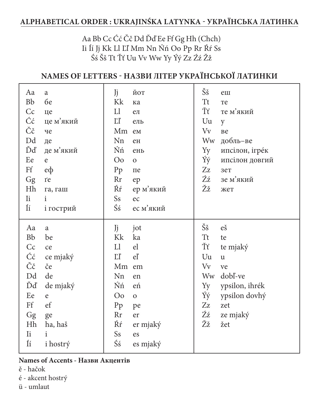# ALPHABETICAL ORDER : UKRAJINŚKA LATYNKA - УКРАЇНСЬКА ЛАТИНКА

## Aa Bb Cc Ćć Čč Dd Ďď Ee Ff Gg Hh (Chch) Ii Íí Jj Kk Ll Ľľ Mm Nn Ńń Oo Pp Rr Ŕŕ Ss Śś Šš Tt Ťť Uu Vv Ww Yy Ýý Zz Źź Žž

# NAMES OF LETTERS - НАЗВИ ЛІТЕР УКРАЇНСЬКОЇ ЛАТИНКИ

| Aa<br><b>Bb</b><br>Cc<br>Ćć<br>Čč<br>Dd<br>Ďď<br>Ee<br>Ff<br>Gg<br>Hh<br>$I$ i                                             | a<br><b>бе</b><br>це<br>це м'який<br>че<br>де<br>де м'який<br>e<br>$e\phi$<br>re<br>га, гаш<br>$\mathbf{i}$                 | Jj<br>Kk<br>L1<br>LI<br>Mm ем<br>Nn<br>Ńń<br>O <sub>o</sub><br>Pp<br>Rr<br>Ŕŕ<br>Ss           | ЙОТ<br>ка<br>$e\pi$<br>ель<br>eH<br>eHb<br>$\mathbf{O}$<br>пе<br>ep<br>ер м'який<br>ec            | Šš<br><b>Tt</b><br>Ťť<br>Uu<br>Vv<br>Ww<br>Yy<br>Ýý<br>Zz<br>Źź<br>Žž | еш<br>Te<br>те м'який<br>y<br>Be<br>добль-ве<br>ипсілон, ігрек<br>ипсілон довгий<br>зет<br>зе м'який<br>жет       |
|----------------------------------------------------------------------------------------------------------------------------|-----------------------------------------------------------------------------------------------------------------------------|-----------------------------------------------------------------------------------------------|---------------------------------------------------------------------------------------------------|-----------------------------------------------------------------------|-------------------------------------------------------------------------------------------------------------------|
| $\rm \tilde{I}i$                                                                                                           | і гострий                                                                                                                   | Śś                                                                                            | ес м'який                                                                                         |                                                                       |                                                                                                                   |
| Aa<br><b>Bb</b><br>Cc<br>Ćć<br>Čč<br>Dd<br>Ďď<br>Ee<br>Ff<br>$\mathbf{G}\mathbf{g}$<br>Hh<br>$\overline{\mathbf{h}}$<br>Íí | a<br>be<br>ce<br>ce mjaký<br>če<br>de<br>de mjaký<br>$\mathbf{e}$<br>ef<br>ge<br>ha, haš<br>$\mathbf{i}$<br><i>i</i> hostrý | Jj<br>Kk<br>L1<br>LI<br>Mm<br>Nn<br>Ńń<br>O <sub>o</sub><br>Pp<br><b>Rr</b><br>Ŕŕ<br>Ss<br>Śś | jot<br>ka<br>el<br>el<br>em<br>en<br>eń<br>$\mathbf{O}$<br>pe<br>er<br>er mjaký<br>es<br>es mjaký | Šš<br><b>Tt</b><br>Ťť<br>Uu<br>Vv<br>Ww<br>Yy<br>Ýý<br>Zz<br>Źź<br>Žž | eš<br>te<br>te mjaký<br>$\mathbf u$<br>ve<br>dobl-ve<br>ypsilon, ihrék<br>ypsilon dovhý<br>zet<br>ze mjaký<br>žet |

## Names of Accents - Назви Акцентів

- ě hačok
- é akcent hostrý
- ü umlaut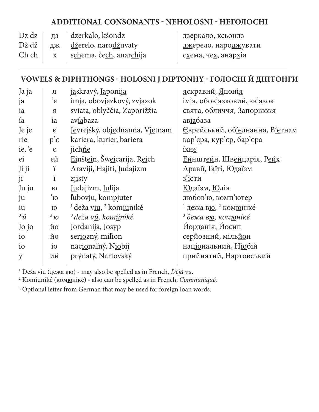## **additional consonants - Neholosni - Неголосні**

|  | Dz dz $ $ $\mu$ <sub>3</sub> $ $ <u>dz</u> erkalo, kśon <u>dz</u>                      | <u>дз</u> еркало, ксьонд <u>з</u>     |
|--|----------------------------------------------------------------------------------------|---------------------------------------|
|  | Dž dž $\parallel$ $\mu$ <sub>K</sub> $\parallel$ <u>dž</u> erelo, naro <u>dž</u> uvaty | <u>дж</u> ерело, наро <u>дж</u> увати |
|  | Ch ch $\vert x \vert$ schema, čech, anarchija                                          | схема, чех, анархія                   |

## **Vowels & diphthongs - holosni j diptonhy - голосні Й Діптонги**

| Ja ja           | $\mathbf R$          | jaskravý, Japonija                               | яскравий, Японія                                               |
|-----------------|----------------------|--------------------------------------------------|----------------------------------------------------------------|
| ja              | $R^2$                | imja, obovjazkový, zvjazok                       | ім'я, обов'язковий, зв'язок                                    |
| ia              | $\mathbf R$          | sviata, oblyččia, Zaporižžia                     | свята, обличчя, Запоріжжя                                      |
| ía              | ia                   | avíabaza                                         | ав <u>іа</u> база                                              |
| Je je           | $\epsilon$           | Jevrejśký, objednanńa, Vjetnam                   | <u>Є</u> врейський, об'єднання, В'єтнам                        |
| rie             | $p^{\prime}\epsilon$ | kariera, kurier, bariera                         | кар'єра, кур'єр, бар'єра                                       |
| ie, 'e          | $\epsilon$           | jichne                                           | їхнє                                                           |
| ei              | ей                   | Einštein, Šweicarija, Reich                      | Ейнштейн, Швейцарія, Рейх                                      |
| Ji ji           | ï                    | Araviji, Hajiti, Judajizm                        | Аравії, Гаїті, Юдаїзм                                          |
| ji              | ï                    | ziisty                                           | з'їсти                                                         |
| Ju ju           | $\bf{FO}$            | Judajizm, Julija                                 | <u>Юдаїзм, Юлія</u>                                            |
| ju              | $\alpha'$            | ľubovju, kompjuter                               | любов'ю, комп'ютер                                             |
| iu              | $\bf{FO}$            | <sup>1</sup> deža viu, <sup>2</sup> komiuniké    | <sup>1</sup> дежа в <u>ю</u> , <sup>2</sup> ком <u>ю</u> ніке́ |
| $3\ddot{u}$     | $3\,$ 10             | <sup>3</sup> deža v <u>ü</u> , kom <u>ü</u> niké | <sup>3</sup> дежа в <u>ю</u> , ком <u>ю</u> ніке́              |
| Jo jo           | ЙО                   | Jordanija, Josyp                                 | <u>Йо</u> рданія, Йосип                                        |
| $\overline{10}$ | ЙО                   | seriozný, milion                                 | серйозний, мільйон                                             |
| i <sub>o</sub>  | $\rm i\sigma$        | nacionalný, Niobij                               | національний, Ніобій                                           |
| ý               | ий                   | prýńatý, Nartovśký                               | прийнятий, Нартовський                                         |
|                 |                      |                                                  |                                                                |

1 Deža viu (дежа вю) - may also be spelled as in French, *Déjà vu*.

2 Komiuniké (комюнікé) - also can be spelled as in French, *Communiqué*.

<sup>3</sup> Optional letter from German that may be used for foreign loan words.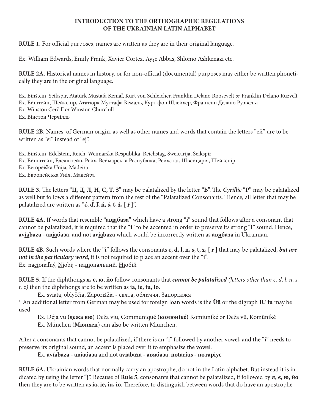#### **INTRODUCTION TO THE ORTHOGRAPHIC REGULATIONS OF THE UKRAINIAN LATIN ALPHABET**

**Rule 1.** For official purposes, names are written as they are in their original language.

Ex. William Edwards, Emily Frank, Xavier Cortez, Ayşe Abbas, Shlomo Ashkenazi etc.

**Rule 2A.** Historical names in history, or for non-official (documental) purposes may either be written phonetically they are in the original language.

Ex. Einštein, Šeikspir, Atatürk Mustafa Kemaľ, Kurt von Schleicher, Franklin Delano Roosevelt *or* Franklin Delano Ruzveľt Ex. Ейштейн, Шейкспір, Ататюрк Мустафа Кемаль, Курт фон Шлейхер, Франклін Делано Рузвельт Ex. Winston Čerčilľ *or* Winston Churchill Ex. Вінстон Черчілль

**Rule 2B.** Names of German origin, as well as other names and words that contain the letters "ей", are to be written as "ei" instead of "ej".

Ex. Einštein, Edelštein, Reich, Weimarśka Respublika, Reichstag, Šweicarija, Šeikspir Ex. Ейнштейн, Еделштейн, Рейх, Веймарська Республіка, Рейхстаґ, Швейцарія, Шейкспір Ex. Evropeiśka Unija, Madeira Ex. Европейська Унія, Мадейра

**Rule 3.** The letters "**Ц, Д, Л, Н, С, Т, З**" may be palatalized by the letter "**Ь**". The *Cyrillic* "**Р**" may be palatalized as well but follows a different pattern from the rest of the "Palatalized Consonants." Hence, all letter that may be palatalized are written as "**ć, ď, ľ, ń, ś, ť, ź, [ ŕ ]**".

**Rule 4A.** If words that resemble "**авіабазa**" which have a strong "**i**" sound that follows after a consonant that cannot be palatalized, it is required that the "**i**" to be accented in order to preserve its strong "**i**" sound. Hence, **avíabaza - авіабазa**, and not **aviabaza** which would be incorrectly written as **авябазa** in Ukrainian.

**Rule 4B.** Such words where the "**i**" follows the consonants **c, d, l, n, s, t, z, [ r ]** that may be palatalized, *but are not in the particulary word*, it is not required to place an accent over the "i". Ex. nacionaľný, Niobij - національний, Ніобій

**Rule 5.** If the diphthongs **я, є, ю, йо** follow consonants that *cannot be palatalized (letters other than c, d, l, n, s, t, z)* then the diphthongs are to be written as **ia, ie, iu, io**.

Ex. sviata, oblyččia, Zaporižžia - свята, обличчя, Запоріжжя

\* An additional letter from German may be used for foreign loan words is the **Üü** or the digraph **IU iu** may be used.

Ex. Déjà vu **(дежа вю)** Deža viu, Communiqué **(комюнікé)** Komiuniké or Deža vü, Komüniké Ex. München (**Мюнхен**) can also be written Miunchen.

After a consonants that cannot be palatalized, if there is an "i" followed by another vowel, and the "i" needs to preserve its original sound, an accent is placed over it to emphasize the vowel.

Ex. **avíabaza - авіабазa** and not **aviabaza - авябазa**, **notaríus - нотаріус**

**Rule 6A.** Ukrainian words that normally carry an apostrophe, do not in the Latin alphabet. But instead it is indicated by using the letter "**j**". Because of **Rule 5**, consonants that cannot be palatalized, if followed by **я, є, ю, йо** then they are to be written as **ia, ie, iu, io**. Therefore, to distinguish between words that do have an apostrophe